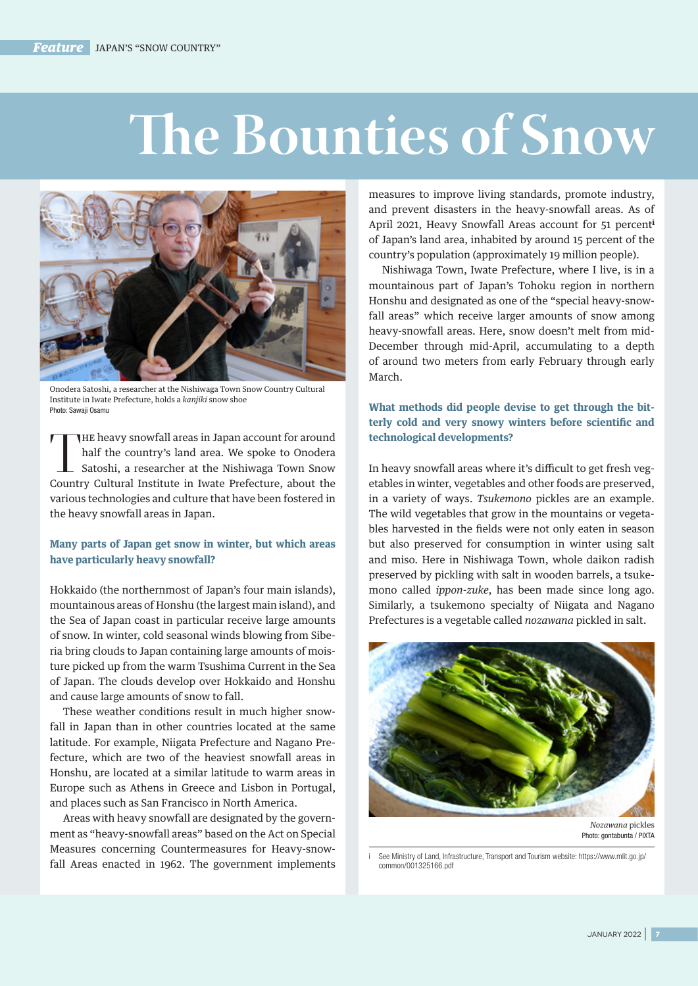# **The Bounties of Snow**



Onodera Satoshi, a researcher at the Nishiwaga Town Snow Country Cultural Institute in Iwate Prefecture, holds a *kanjiki* snow shoe Photo: Sawaji Osamu

THE heavy snowfall areas in Japan account for around half the country's land area. We spoke to Onodera Satoshi, a researcher at the Nishiwaga Town Snow Country Cultural Institute in Iwate Prefecture, about the various technologies and culture that have been fostered in the heavy snowfall areas in Japan.

# **Many parts of Japan get snow in winter, but which areas have particularly heavy snowfall?**

Hokkaido (the northernmost of Japan's four main islands), mountainous areas of Honshu (the largest main island), and the Sea of Japan coast in particular receive large amounts of snow. In winter, cold seasonal winds blowing from Siberia bring clouds to Japan containing large amounts of moisture picked up from the warm Tsushima Current in the Sea of Japan. The clouds develop over Hokkaido and Honshu and cause large amounts of snow to fall.

These weather conditions result in much higher snowfall in Japan than in other countries located at the same latitude. For example, Niigata Prefecture and Nagano Prefecture, which are two of the heaviest snowfall areas in Honshu, are located at a similar latitude to warm areas in Europe such as Athens in Greece and Lisbon in Portugal, and places such as San Francisco in North America.

Areas with heavy snowfall are designated by the government as "heavy-snowfall areas" based on the Act on Special Measures concerning Countermeasures for Heavy-snowfall Areas enacted in 1962. The government implements measures to improve living standards, promote industry, and prevent disasters in the heavy-snowfall areas. As of April 2021, Heavy Snowfall Areas account for 51 percent<sup>i</sup> of Japan's land area, inhabited by around 15 percent of the country's population (approximately 19 million people).

Nishiwaga Town, Iwate Prefecture, where I live, is in a mountainous part of Japan's Tohoku region in northern Honshu and designated as one of the "special heavy-snowfall areas" which receive larger amounts of snow among heavy-snowfall areas. Here, snow doesn't melt from mid-December through mid-April, accumulating to a depth of around two meters from early February through early March.

# **What methods did people devise to get through the bitterly cold and very snowy winters before scientific and technological developments?**

In heavy snowfall areas where it's difficult to get fresh vegetables in winter, vegetables and other foods are preserved, in a variety of ways. *Tsukemono* pickles are an example. The wild vegetables that grow in the mountains or vegetables harvested in the fields were not only eaten in season but also preserved for consumption in winter using salt and miso. Here in Nishiwaga Town, whole daikon radish preserved by pickling with salt in wooden barrels, a tsukemono called *ippon-zuke*, has been made since long ago. Similarly, a tsukemono specialty of Niigata and Nagano Prefectures is a vegetable called *nozawana* pickled in salt.



Photo: gontabunta / PIXTA

See Ministry of Land, Infrastructure, Transport and Tourism website: https://www.mlit.go.jp/ common/001325166.pdf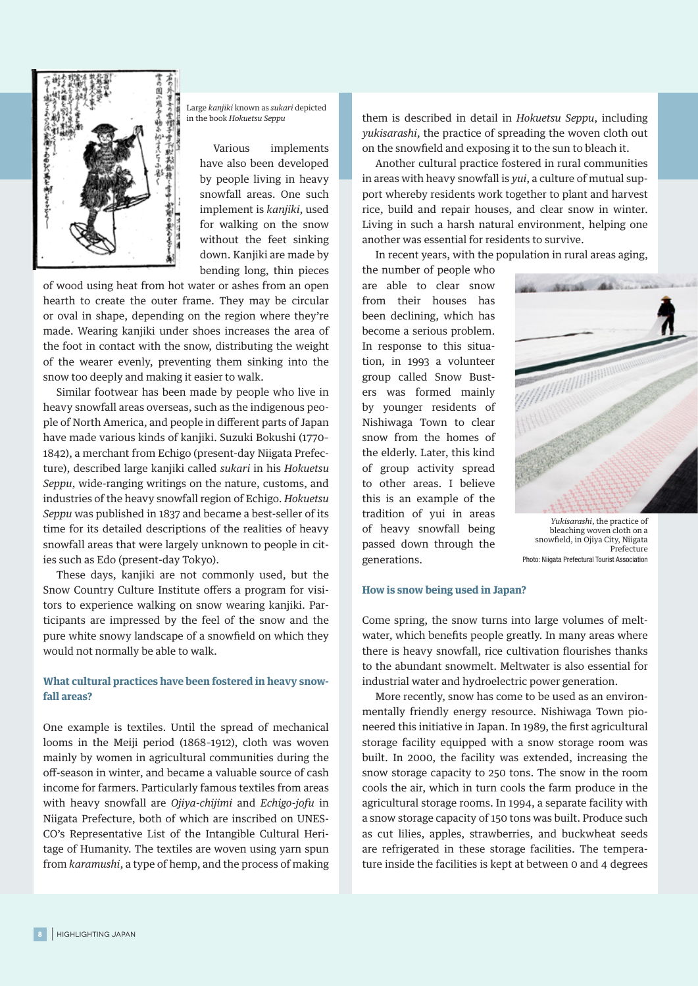

Large *kanjiki* known as *sukari* depicted in the book *Hokuetsu Seppu*

> Various implements have also been developed by people living in heavy snowfall areas. One such implement is *kanjiki*, used for walking on the snow without the feet sinking down. Kanjiki are made by bending long, thin pieces

of wood using heat from hot water or ashes from an open hearth to create the outer frame. They may be circular or oval in shape, depending on the region where they're made. Wearing kanjiki under shoes increases the area of the foot in contact with the snow, distributing the weight of the wearer evenly, preventing them sinking into the snow too deeply and making it easier to walk.

Similar footwear has been made by people who live in heavy snowfall areas overseas, such as the indigenous people of North America, and people in different parts of Japan have made various kinds of kanjiki. Suzuki Bokushi (1770– 1842), a merchant from Echigo (present-day Niigata Prefecture), described large kanjiki called *sukari* in his *Hokuetsu Seppu*, wide-ranging writings on the nature, customs, and industries of the heavy snowfall region of Echigo. *Hokuetsu Seppu* was published in 1837 and became a best-seller of its time for its detailed descriptions of the realities of heavy snowfall areas that were largely unknown to people in cities such as Edo (present-day Tokyo).

These days, kanjiki are not commonly used, but the Snow Country Culture Institute offers a program for visitors to experience walking on snow wearing kanjiki. Participants are impressed by the feel of the snow and the pure white snowy landscape of a snowfield on which they would not normally be able to walk.

## **What cultural practices have been fostered in heavy snowfall areas?**

One example is textiles. Until the spread of mechanical looms in the Meiji period (1868–1912), cloth was woven mainly by women in agricultural communities during the off-season in winter, and became a valuable source of cash income for farmers. Particularly famous textiles from areas with heavy snowfall are *Ojiya-chijimi* and *Echigo-jofu* in Niigata Prefecture, both of which are inscribed on UNES-CO's Representative List of the Intangible Cultural Heritage of Humanity. The textiles are woven using yarn spun from *karamushi*, a type of hemp, and the process of making

them is described in detail in *Hokuetsu Seppu*, including *yukisarashi*, the practice of spreading the woven cloth out on the snowfield and exposing it to the sun to bleach it.

Another cultural practice fostered in rural communities in areas with heavy snowfall is *yui*, a culture of mutual support whereby residents work together to plant and harvest rice, build and repair houses, and clear snow in winter. Living in such a harsh natural environment, helping one another was essential for residents to survive.

In recent years, with the population in rural areas aging,

the number of people who are able to clear snow from their houses has been declining, which has become a serious problem. In response to this situation, in 1993 a volunteer group called Snow Busters was formed mainly by younger residents of Nishiwaga Town to clear snow from the homes of the elderly. Later, this kind of group activity spread to other areas. I believe this is an example of the tradition of yui in areas of heavy snowfall being passed down through the generations.



*Yukisarashi*, the practice of bleaching woven cloth on a snowfield, in Ojiya City, Niigata Prefecture Photo: Niigata Prefectural Tourist Association

### **How is snow being used in Japan?**

Come spring, the snow turns into large volumes of meltwater, which benefits people greatly. In many areas where there is heavy snowfall, rice cultivation flourishes thanks to the abundant snowmelt. Meltwater is also essential for industrial water and hydroelectric power generation.

More recently, snow has come to be used as an environmentally friendly energy resource. Nishiwaga Town pioneered this initiative in Japan. In 1989, the first agricultural storage facility equipped with a snow storage room was built. In 2000, the facility was extended, increasing the snow storage capacity to 250 tons. The snow in the room cools the air, which in turn cools the farm produce in the agricultural storage rooms. In 1994, a separate facility with a snow storage capacity of 150 tons was built. Produce such as cut lilies, apples, strawberries, and buckwheat seeds are refrigerated in these storage facilities. The temperature inside the facilities is kept at between 0 and 4 degrees